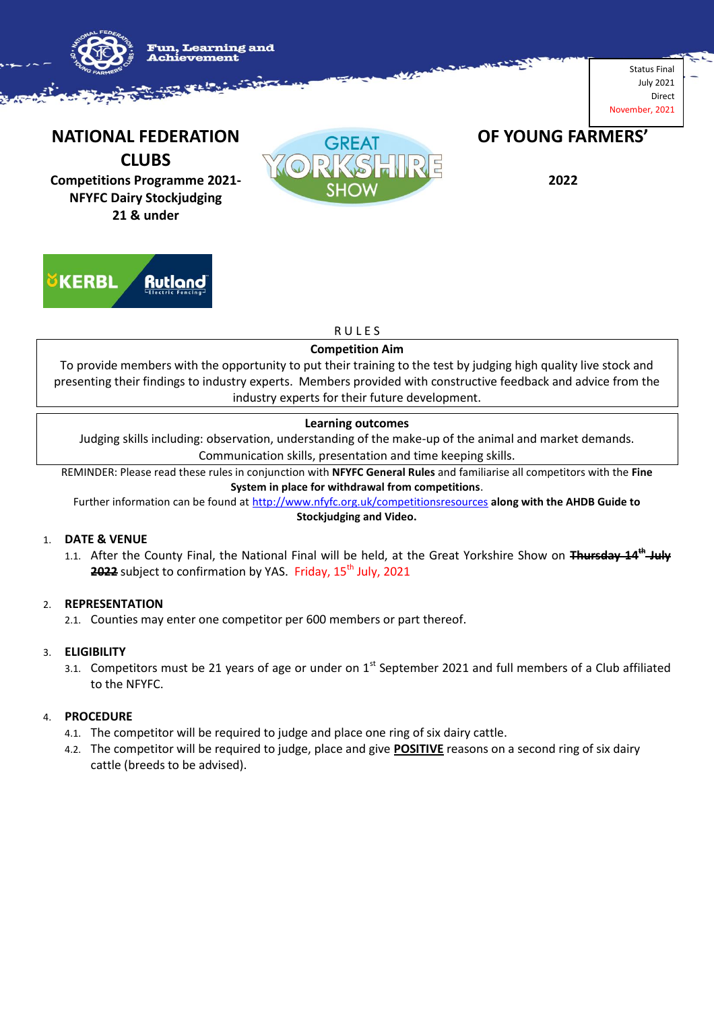



# R U L E S

#### **Competition Aim**

To provide members with the opportunity to put their training to the test by judging high quality live stock and presenting their findings to industry experts. Members provided with constructive feedback and advice from the industry experts for their future development.

## **Learning outcomes**

Judging skills including: observation, understanding of the make-up of the animal and market demands. Communication skills, presentation and time keeping skills.

REMINDER: Please read these rules in conjunction with **NFYFC General Rules** and familiarise all competitors with the **Fine System in place for withdrawal from competitions**.

Further information can be found at<http://www.nfyfc.org.uk/competitionsresources> **along with the AHDB Guide to Stockjudging and Video.**

#### 1. **DATE & VENUE**

1.1. After the County Final, the National Final will be held, at the Great Yorkshire Show on **Thursday 14 th July 2022** subject to confirmation by YAS. Friday, 15<sup>th</sup> July, 2021

## 2. **REPRESENTATION**

2.1. Counties may enter one competitor per 600 members or part thereof.

#### 3. **ELIGIBILITY**

3.1. Competitors must be 21 years of age or under on  $1<sup>st</sup>$  September 2021 and full members of a Club affiliated to the NFYFC.

# 4. **PROCEDURE**

- 4.1. The competitor will be required to judge and place one ring of six dairy cattle.
- 4.2. The competitor will be required to judge, place and give **POSITIVE** reasons on a second ring of six dairy cattle (breeds to be advised).